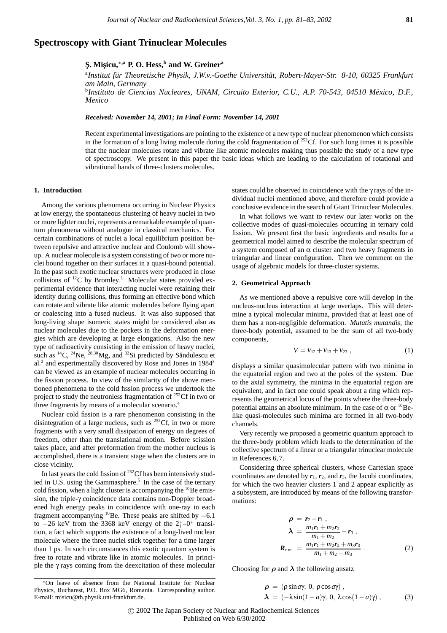## **Spectroscopy with Giant Trinuclear Molecules**

# **S¸. Mis¸icu,**∗**,a P. O. Hess,<sup>b</sup> and W. Greiner<sup>a</sup>**

<sup>a</sup>Institut für Theoretische Physik, J.W.v.-Goethe Universität, Robert-Mayer-Str. 8-10, 60325 Frankfurt *am Main, Germany*

b *Instituto de Ciencias Nucleares, UNAM, Circuito Exterior, C.U., A.P. 70-543, 04510 Mexico, D.F., ´ Mexico*

*Received: November 14, 2001; In Final Form: November 14, 2001*

Recent experimental investigations are pointing to the existence of a new type of nuclear phenomenon which consists in the formation of a long living molecule during the cold fragmentation of  $252$ Cf. For such long times it is possible that the nuclear molecules rotate and vibrate like atomic molecules making thus possible the study of a new type of spectroscopy. We present in this paper the basic ideas which are leading to the calculation of rotational and vibrational bands of three-clusters molecules.

### **1. Introduction**

Among the various phenomena occurring in Nuclear Physics at low energy, the spontaneous clustering of heavy nuclei in two or more lighter nuclei, represents a remarkable example of quantum phenomena without analogue in classical mechanics. For certain combinations of nuclei a local equilibrium position between repulsive and attractive nuclear and Coulomb will showup. A nuclear molecule is a system consisting of two or more nuclei bound together on their surfaces in a quasi-bound potential. In the past such exotic nuclear structures were produced in close collisions of  ${}^{12}C$  by Bromley.<sup>1</sup> Molecular states provided experimental evidence that interacting nuclei were retaining their identity during collisions, thus forming an effective bond which can rotate and vibrate like atomic molecules before flying apart or coalescing into a fused nucleus. It was also supposed that long-living shape isomeric states might be considered also as nuclear molecules due to the pockets in the deformation energies which are developing at large elongations. Also the new type of radioactivity consisting in the emission of heavy nuclei, such as  ${}^{14}C$ ,  ${}^{24}Ne$ ,  ${}^{28,30}Mg$ , and  ${}^{32}Si$  predicted by Săndulescu et al.<sup>2</sup> and experimentally discovered by Rose and Jones in 1984<sup>3</sup> can be viewed as an example of nuclear molecules occurring in the fission process. In view of the similarity of the above mentioned phenomena to the cold fission process we undertook the project to study the neutronless fragmentation of 252Cf in two or three fragments by means of a molecular scenario.<sup>4</sup>

Nuclear cold fission is a rare phenomenon consisting in the disintegration of a large nucleus, such as  ${}^{252}Cf$ , in two or more fragments with a very small dissipation of energy on degrees of freedom, other than the translational motion. Before scission takes place, and after preformation from the mother nucleus is accomplished, there is a transient stage when the clusters are in close vicinity.

In last years the cold fission of  $252$ Cf has been intensively studied in U.S. using the Gammasphere.<sup>5</sup> In the case of the ternary cold fission, when a light cluster is accompanying the  $^{10}$ Be emission, the triple-γ coincidence data contains non-Doppler broadened high energy peaks in coincidence with one-ray in each fragment accompanying <sup>10</sup>Be. These peaks are shifted by  $-6.1$ to  $-26$  keV from the 3368 keV energy of the  $2^{+}_{1}$ -0<sup>+</sup> transition, a fact which supports the existence of a long-lived nuclear molecule where the three nuclei stick together for a time larger than 1 ps. In such circumstances this exotic quantum system is free to rotate and vibrate like in atomic molecules. In principle the γ rays coming from the deexcitation of these molecular states could be observed in coincidence with the γ rays of the individual nuclei mentioned above, and therefore could provide a conclusive evidence in the search of Giant Trinuclear Molecules.

In what follows we want to review our later works on the collective modes of quasi-molecules occurring in ternary cold fission. We present first the basic ingredients and results for a geometrical model aimed to describe the molecular spectrum of a system composed of an  $\alpha$  cluster and two heavy fragments in triangular and linear configuration. Then we comment on the usage of algebraic models for three-cluster systems.

### **2. Geometrical Approach**

As we mentioned above a repulsive core will develop in the nucleus-nucleus interaction at large overlaps. This will determine a typical molecular minima, provided that at least one of them has a non-negligible deformation. *Mutatis mutandis*, the three-body potential, assumed to be the sum of all two-body components,

$$
V = V_{12} + V_{13} + V_{23} \t\t(1)
$$

displays a similar quasimolecular pattern with two minima in the equatorial region and two at the poles of the system. Due to the axial symmetry, the minima in the equatorial region are equivalent, and in fact one could speak about a ring which represents the geometrical locus of the points where the three-body potential attains an absolute minimum. In the case of  $\alpha$  or  $^{10}$ Belike quasi-molecules such minima are formed in all two-body channels.

Very recently we proposed a geometric quantum approach to the three-body problem which leads to the determination of the collective spectrum of a linear or a triangular trinuclear molecule in References 6,7.

Considering three spherical clusters, whose Cartesian space coordinates are denoted by  $r_1$ ,  $r_2$ , and  $r_3$ , the Jacobi coordinates, for which the two heavier clusters 1 and 2 appear explicitly as a subsystem, are introduced by means of the following transformations:

$$
\rho = r_2 - r_1 ,
$$
\n
$$
\lambda = \frac{m_1 r_1 + m_2 r_2}{m_1 + m_2} - r_3 ,
$$
\n
$$
R_{c.m.} = \frac{m_1 r_1 + m_2 r_2 + m_3 r_3}{m_1 + m_2 + m_3} .
$$
\n(2)

Choosing for  $\rho$  and  $\lambda$  the following ansatz

∗On leave of absence from the National Institute for Nuclear Physics, Bucharest, P.O. Box MG6, Romania. Corresponding author. E-mail: misicu@th.physik.uni-frankfurt.de.

*ρ* = (ρsin*a*γ, 0, ρcos*a*γ) ,  $λ = (-λ sin(1−a)γ, 0, λcos(1−a)γ)$ , (3)

<sup>-</sup>c 2002 The Japan Society of Nuclear and Radiochemical Sciences Published on Web 6/30/2002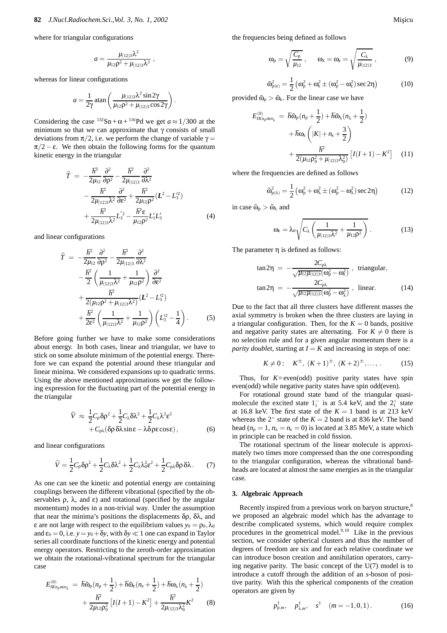where for triangular configurations

$$
a=\frac{\mu_{(12)3}\lambda^2}{\mu_{12}\rho^2+\mu_{(12)3}\lambda^2}\,,
$$

whereas for linear configurations

$$
a = \frac{1}{2\gamma} \operatorname{atan}\left(\frac{\mu_{(12)3}\lambda^2 \sin 2\gamma}{\mu_{12}\rho^2 + \mu_{(12)3}\cos 2\gamma}\right).
$$

Considering the case  $^{132}Sn + \alpha + ^{116}Pd$  we get  $a \approx 1/300$  at the minimum so that we can approximate that  $\gamma$  consists of small deviations from  $\pi/2$ , i.e. we perform the change of variable  $\gamma =$  $\pi/2 - \varepsilon$ . We then obtain the following forms for the quantum kinetic energy in the triangular

$$
\hat{T} = -\frac{\hbar^2}{2\mu_{12}}\frac{\partial^2}{\partial \rho^2} - \frac{\hbar^2}{2\mu_{(12)3}}\frac{\partial^2}{\partial \lambda^2} \n- \frac{\hbar^2}{2\mu_{(12)3}\lambda^2}\frac{\partial^2}{\partial \epsilon^2} + \frac{\hbar^2}{2\mu_{12}\rho^2}(L^2 - L_3^2) \n+ \frac{\hbar^2}{2\mu_{(12)3}\lambda^2}L_3^{'2} - \frac{\hbar^2 \epsilon}{\mu_{12}\rho^2}L_1'L_3' \n\tag{4}
$$

and linear configurations

$$
\begin{split} \widehat{T} &= -\frac{\hbar^2}{2\mu_{12}}\frac{\partial^2}{\partial \rho^2} - \frac{\hbar^2}{2\mu_{(12)3}}\frac{\partial^2}{\partial \lambda^2} \\ &- \frac{\hbar^2}{2}\left(\frac{1}{\mu_{(12)3}\lambda^2} + \frac{1}{\mu_{12}\rho^2}\right)\frac{\partial^2}{\partial \varepsilon^2} \\ &+ \frac{\hbar^2}{2(\mu_{12}\rho^2 + \mu_{(12)3}\lambda^2)}(L^2 - L_3^2) \\ &+ \frac{\hbar^2}{2\varepsilon^2}\left(\frac{1}{\mu_{(12)3}\lambda^2} + \frac{1}{\mu_{12}\rho^2}\right)\left(L_3^{\prime 2} - \frac{1}{4}\right). \end{split} \tag{5}
$$

Before going further we have to make some considerations about energy. In both cases, linear and triangular, we have to stick on some absolute minimum of the potential energy. Therefore we can expand the potential around these triangular and linear minima. We considered expansions up to quadratic terms. Using the above mentioned approximations we get the following expression for the fluctuating part of the potential energy in the triangular

$$
\hat{V} \approx \frac{1}{2}C_{\rho}\delta\rho^{2} + \frac{1}{2}C_{\lambda}\delta\lambda^{2} + \frac{1}{2}C_{\lambda}\lambda^{2}\epsilon^{2} + C_{\rho\lambda}(\delta\rho\delta\lambda\sin\epsilon - \lambda\delta\rho\epsilon\cos\epsilon),
$$
\n(6)

and linear configurations

$$
\widehat{V} = \frac{1}{2}C_{\rho}\delta\rho^{2} + \frac{1}{2}C_{\lambda}\delta\lambda^{2} + \frac{1}{2}C_{\lambda}\lambda_{0}^{2}\varepsilon^{2} + \frac{1}{2}C_{\rho\lambda}\delta\rho\delta\lambda.
$$
 (7)

As one can see the kinetic and potential energy are containing couplings between the different vibrational (specified by the observables  $\rho$ ,  $\lambda$ , and  $\varepsilon$ ) and rotational (specified by the angular momentum) modes in a non-trivial way. Under the assumption that near the minima's positions the displacements  $δρ$ ,  $δλ$ , and  $\varepsilon$  are not large with respect to the equilibrium values  $y_0 = \rho_0, \lambda_0$ and  $\varepsilon_0 = 0$ , i.e.  $y = y_0 + \delta y$ , with  $\delta y \ll 1$  one can expand in Taylor series all coordinate functions of the kinetic energy and potential energy operators. Restricting to the zeroth-order approximation we obtain the rotational-vibrational spectrum for the triangular case

$$
E_{IK_{n_p n \epsilon n_\lambda}}^{(0)} = \hbar \tilde{\omega}_p (n_p + \frac{1}{2}) + \hbar \tilde{\omega}_e (n_e + \frac{1}{2}) + \hbar \omega_\lambda (n_\lambda + \frac{1}{2}) + \frac{\hbar^2}{2\mu_{12}\rho_0^2} \left[ I(I+1) - K^2 \right] + \frac{\hbar^2}{2\mu_{(12)3}\lambda_0^2} K^2
$$
(8)

the frequencies being defined as follows

$$
\omega_{\rho} = \sqrt{\frac{C_{\rho}}{\mu_{12}}}, \qquad \omega_{\lambda} = \omega_{\epsilon} = \sqrt{\frac{C_{\lambda}}{\mu_{(12)3}}}, \qquad (9)
$$

$$
\tilde{\omega}_{\rho(\epsilon)}^2 = \frac{1}{2} \left( \omega_{\rho}^2 + \omega_{\epsilon}^2 \pm (\omega_{\rho}^2 - \omega_{\epsilon}^2) \sec 2\eta \right)
$$
 (10)

provided  $\tilde{\omega}_0 > \tilde{\omega}_e$ . For the linear case we have

$$
E_{IKn_{\rho}n\epsilon n_{\lambda}}^{(0)} = \hbar \tilde{\omega}_{\rho} (n_{\rho} + \frac{1}{2}) + \hbar \tilde{\omega}_{\lambda} (n_{\lambda} + \frac{1}{2})
$$

$$
+ \hbar \omega_{\epsilon} \left( |K| + n_{\epsilon} + \frac{3}{2} \right)
$$

$$
+ \frac{\hbar^2}{2(\mu_{12}\rho_0^2 + \mu_{(12)3}\lambda_0^2)} \left[ I(I+1) - K^2 \right] \quad (11)
$$

where the frequencies are defined as follows

$$
\tilde{\omega}_{\rho(\lambda)}^2 = \frac{1}{2} \left( \omega_\rho^2 + \omega_\lambda^2 \pm (\omega_\rho^2 - \omega_\lambda^2) \sec 2\eta \right) \tag{12}
$$

in case  $\tilde{\omega}_{\rho} > \tilde{\omega}_{\lambda}$  and

$$
\omega_{\varepsilon} = \lambda_0 \sqrt{C_{\lambda} \left( \frac{1}{\mu_{(12)3} \lambda^2} + \frac{1}{\mu_{12} \rho^2} \right)}.
$$
 (13)

The parameter  $\eta$  is defined as follows:

$$
\tan 2\eta = -\frac{2C_{\rho\lambda}}{\sqrt{\mu_{12}\mu_{(12)3}(\omega_{\rho}^2 - \omega_{\epsilon}^2)}}, \text{ triangular},
$$

$$
\tan 2\eta = -\frac{2C_{\rho\lambda}}{\sqrt{\mu_{12}\mu_{(12)3}(\omega_{\rho}^2 - \omega_{\lambda}^2)}}, \text{ linear.} \tag{14}
$$

Due to the fact that all three clusters have different masses the axial symmetry is broken when the three clusters are laying in a triangular configuration. Then, for the  $K = 0$  bands, positive and negative parity states are alternating. For  $K \neq 0$  there is no selection rule and for a given angular momentum there is a *parity doublet*, starting at  $I = K$  and increasing in steps of one:

$$
K \neq 0
$$
:  $K^{\pm}$ ,  $(K+1)^{\pm}$ ,  $(K+2)^{\pm}$ ,..., (15)

Thus, for  $K = even(odd)$  positive parity states have spin even(odd) while negative parity states have spin odd(even).

For rotational ground state band of the triangular quasimolecule the excited state  $1<sub>1</sub><sup>-</sup>$  is at 5.4 keV, and the  $2<sub>1</sub><sup>+</sup>$  state at 16.8 keV. The first state of the  $K = 1$  band is at 213 keV whereas the  $2^+$  state of the  $K = 2$  band is at 836 keV. The band head ( $n<sub>0</sub> = 1$ ,  $n<sub>\lambda</sub> = n<sub>\epsilon</sub> = 0$ ) is located at 3.85 MeV, a state which in principle can be reached in cold fission.

The rotational spectrum of the linear molecule is approximately two times more compressed than the one corresponding to the triangular configuration, whereas the vibrational bandheads are located at almost the same energies as in the triangular case.

#### **3. Algebraic Approach**

Recently inspired from a previous work on baryon structure,<sup>8</sup> we proposed an algebraic model which has the advantage to describe complicated systems, which would require complex procedures in the geometrical model. $9,10$  Like in the previous section, we consider spherical clusters and thus the number of degrees of freedom are six and for each relative coordinate we can introduce boson creation and annihilation operators, carrying negative parity. The basic concept of the U(7) model is to introduce a cutoff through the addition of an *s*-boson of positive parity. With this the spherical components of the creation operators are given by

$$
p^{\dagger}_{\rho,m}, \quad p^{\dagger}_{\lambda,m}, \quad s^{\dagger} \quad (m = -1, 0, 1).
$$
 (16)